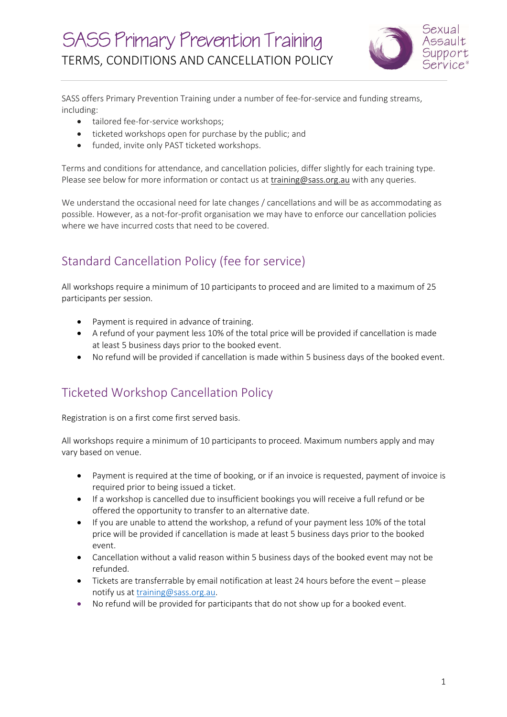

SASS offers Primary Prevention Training under a number of fee-for-service and funding streams, including:

- tailored fee-for-service workshops;
- ticketed workshops open for purchase by the public; and
- funded, invite only PAST ticketed workshops.

Terms and conditions for attendance, and cancellation policies, differ slightly for each training type. Please see below for more information or contact us at training@sass.org.au with any queries.

We understand the occasional need for late changes / cancellations and will be as accommodating as possible. However, as a not-for-profit organisation we may have to enforce our cancellation policies where we have incurred costs that need to be covered.

## Standard Cancellation Policy (fee for service)

All workshops require a minimum of 10 participants to proceed and are limited to a maximum of 25 participants per session.

- Payment is required in advance of training.
- A refund of your payment less 10% of the total price will be provided if cancellation is made at least 5 business days prior to the booked event.
- No refund will be provided if cancellation is made within 5 business days of the booked event.

## Ticketed Workshop Cancellation Policy

Registration is on a first come first served basis.

All workshops require a minimum of 10 participants to proceed. Maximum numbers apply and may vary based on venue.

- Payment is required at the time of booking, or if an invoice is requested, payment of invoice is required prior to being issued a ticket.
- If a workshop is cancelled due to insufficient bookings you will receive a full refund or be offered the opportunity to transfer to an alternative date.
- If you are unable to attend the workshop, a refund of your payment less 10% of the total price will be provided if cancellation is made at least 5 business days prior to the booked event.
- Cancellation without a valid reason within 5 business days of the booked event may not be refunded.
- Tickets are transferrable by email notification at least 24 hours before the event please notify us at training@sass.org.au.
- No refund will be provided for participants that do not show up for a booked event.